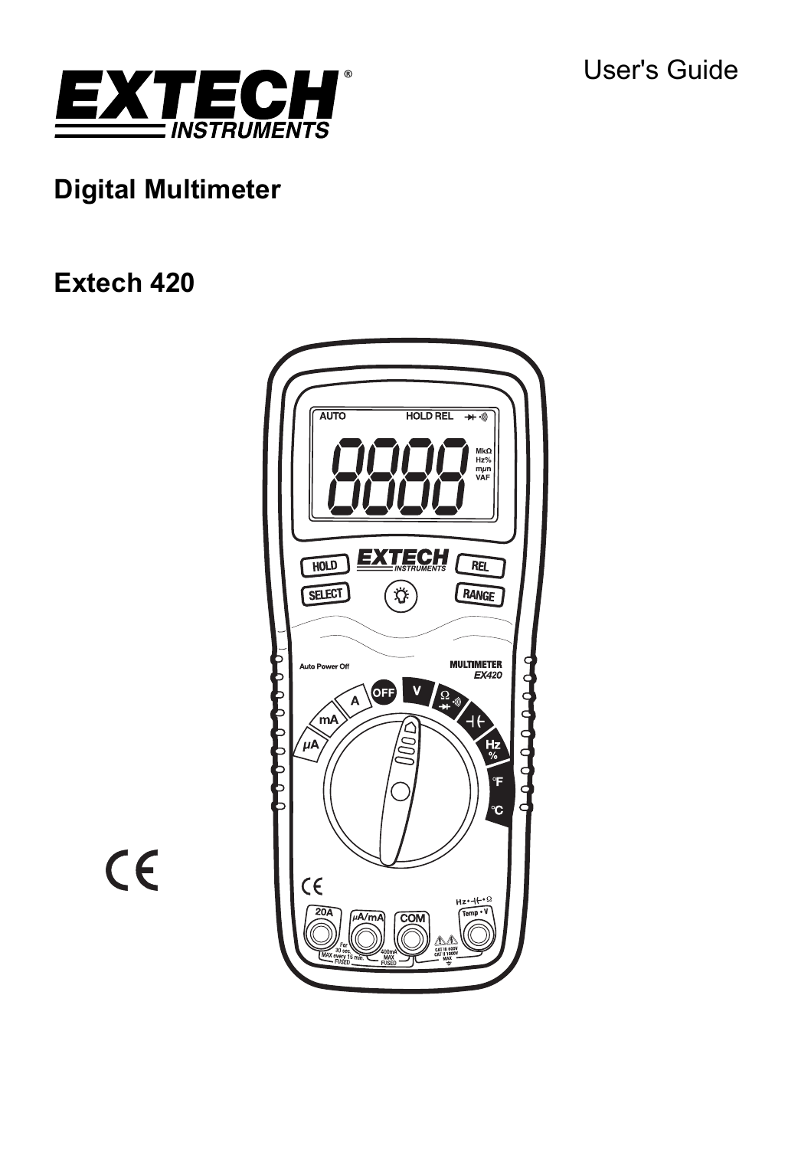User's Guide



# **Digital Multimeter**

# **Extech 420**



 $C \in$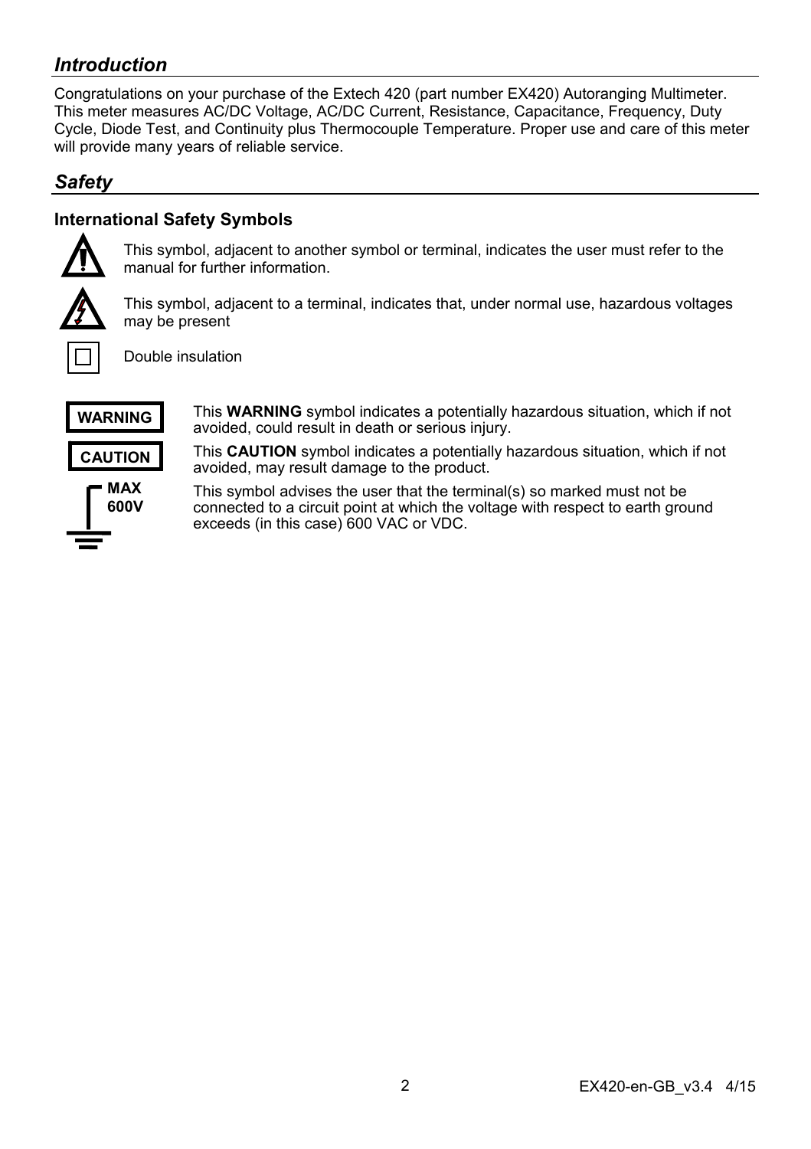# *Introduction*

Congratulations on your purchase of the Extech 420 (part number EX420) Autoranging Multimeter. This meter measures AC/DC Voltage, AC/DC Current, Resistance, Capacitance, Frequency, Duty Cycle, Diode Test, and Continuity plus Thermocouple Temperature. Proper use and care of this meter will provide many years of reliable service.

## *Safety*

## **International Safety Symbols**



This symbol, adjacent to another symbol or terminal, indicates the user must refer to the manual for further information.



This symbol, adjacent to a terminal, indicates that, under normal use, hazardous voltages may be present



Double insulation



avoided, could result in death or serious injury.

**CAUTION** 



This **CAUTION** symbol indicates a potentially hazardous situation, which if not avoided, may result damage to the product.

This **WARNING** symbol indicates a potentially hazardous situation, which if not

This symbol advises the user that the terminal(s) so marked must not be connected to a circuit point at which the voltage with respect to earth ground exceeds (in this case) 600 VAC or VDC.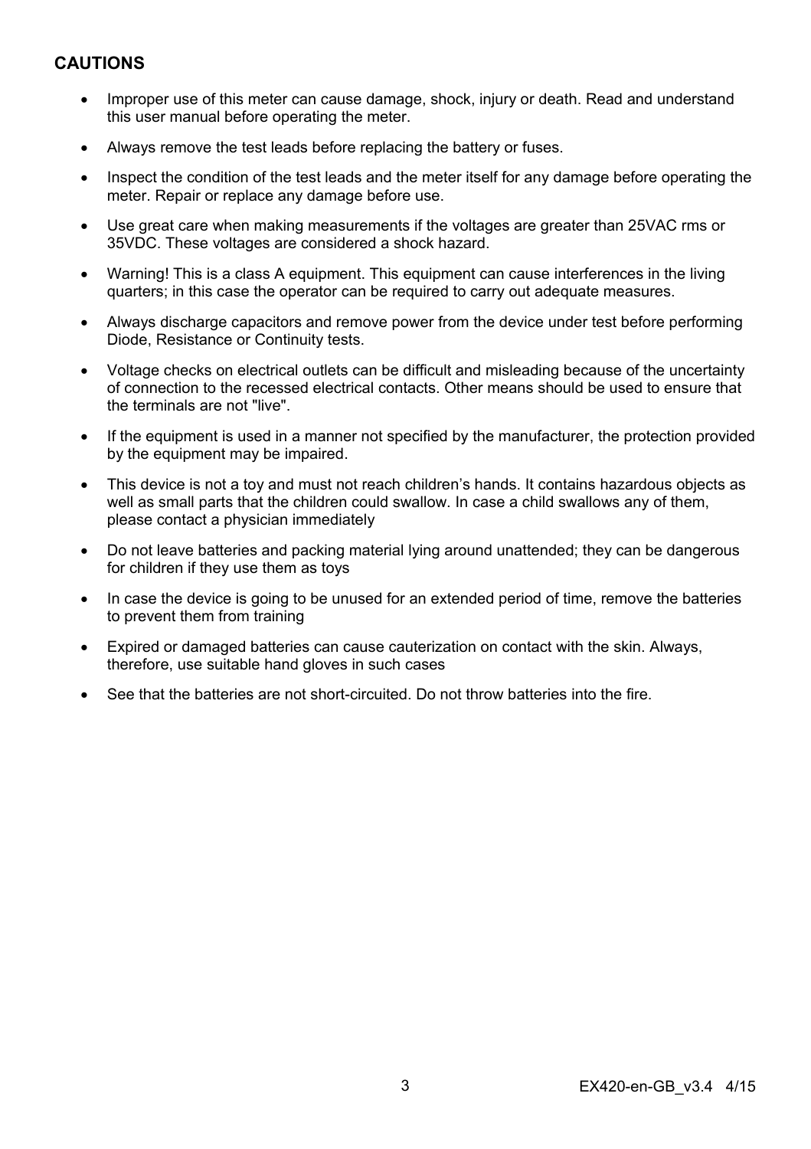## **CAUTIONS**

- Improper use of this meter can cause damage, shock, injury or death. Read and understand this user manual before operating the meter.
- Always remove the test leads before replacing the battery or fuses.
- Inspect the condition of the test leads and the meter itself for any damage before operating the meter. Repair or replace any damage before use.
- Use great care when making measurements if the voltages are greater than 25VAC rms or 35VDC. These voltages are considered a shock hazard.
- Warning! This is a class A equipment. This equipment can cause interferences in the living quarters; in this case the operator can be required to carry out adequate measures.
- Always discharge capacitors and remove power from the device under test before performing Diode, Resistance or Continuity tests.
- Voltage checks on electrical outlets can be difficult and misleading because of the uncertainty of connection to the recessed electrical contacts. Other means should be used to ensure that the terminals are not "live".
- If the equipment is used in a manner not specified by the manufacturer, the protection provided by the equipment may be impaired.
- This device is not a toy and must not reach children's hands. It contains hazardous objects as well as small parts that the children could swallow. In case a child swallows any of them, please contact a physician immediately
- Do not leave batteries and packing material lying around unattended; they can be dangerous for children if they use them as toys
- In case the device is going to be unused for an extended period of time, remove the batteries to prevent them from training
- Expired or damaged batteries can cause cauterization on contact with the skin. Always, therefore, use suitable hand gloves in such cases
- See that the batteries are not short-circuited. Do not throw batteries into the fire.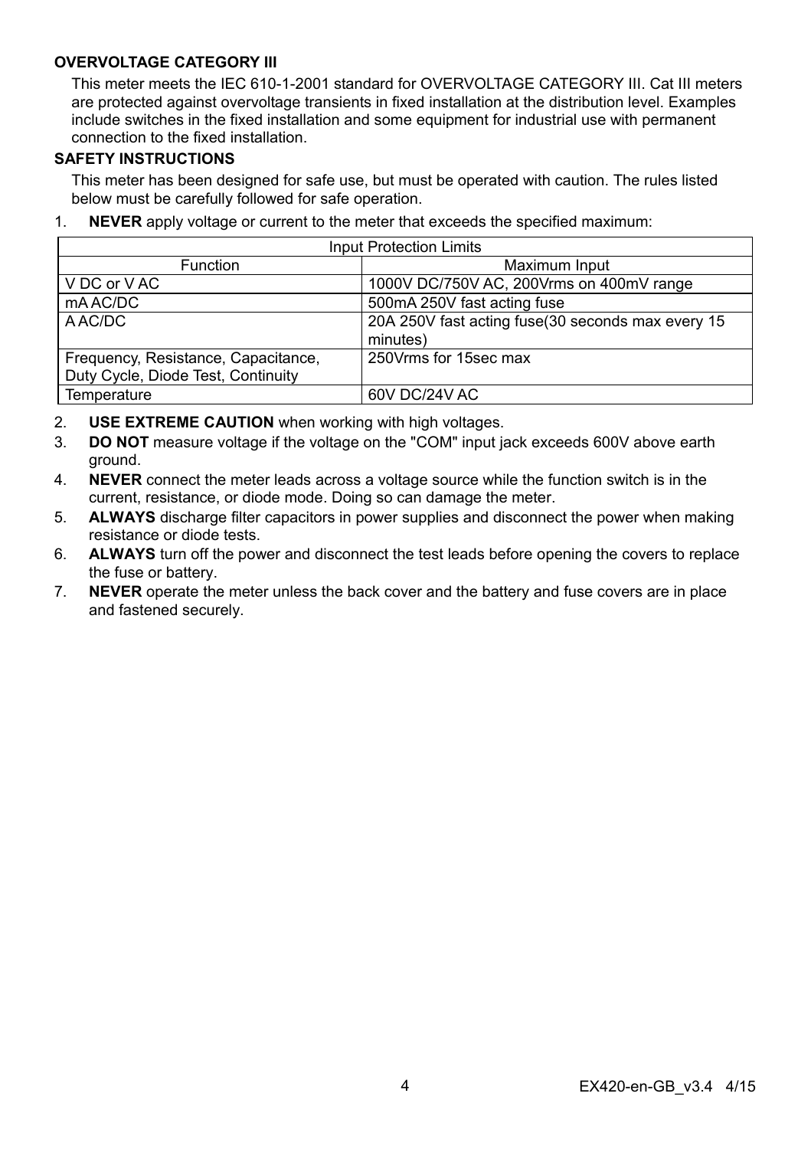#### **OVERVOLTAGE CATEGORY III**

This meter meets the IEC 610-1-2001 standard for OVERVOLTAGE CATEGORY III. Cat III meters are protected against overvoltage transients in fixed installation at the distribution level. Examples include switches in the fixed installation and some equipment for industrial use with permanent connection to the fixed installation.

#### **SAFETY INSTRUCTIONS**

This meter has been designed for safe use, but must be operated with caution. The rules listed below must be carefully followed for safe operation.

1. **NEVER** apply voltage or current to the meter that exceeds the specified maximum:

| <b>Input Protection Limits</b>      |                                                   |  |  |
|-------------------------------------|---------------------------------------------------|--|--|
| <b>Function</b>                     | Maximum Input                                     |  |  |
| V DC or V AC                        | 1000V DC/750V AC, 200Vrms on 400mV range          |  |  |
| mAAC/DC                             | 500mA 250V fast acting fuse                       |  |  |
| A AC/DC                             | 20A 250V fast acting fuse(30 seconds max every 15 |  |  |
|                                     | minutes)                                          |  |  |
| Frequency, Resistance, Capacitance, | 250 Vrms for 15sec max                            |  |  |
| Duty Cycle, Diode Test, Continuity  |                                                   |  |  |
| Temperature                         | 60V DC/24V AC                                     |  |  |

- 2. **USE EXTREME CAUTION** when working with high voltages.
- 3. **DO NOT** measure voltage if the voltage on the "COM" input jack exceeds 600V above earth ground.
- 4. **NEVER** connect the meter leads across a voltage source while the function switch is in the current, resistance, or diode mode. Doing so can damage the meter.
- 5. **ALWAYS** discharge filter capacitors in power supplies and disconnect the power when making resistance or diode tests.
- 6. **ALWAYS** turn off the power and disconnect the test leads before opening the covers to replace the fuse or battery.
- 7. **NEVER** operate the meter unless the back cover and the battery and fuse covers are in place and fastened securely.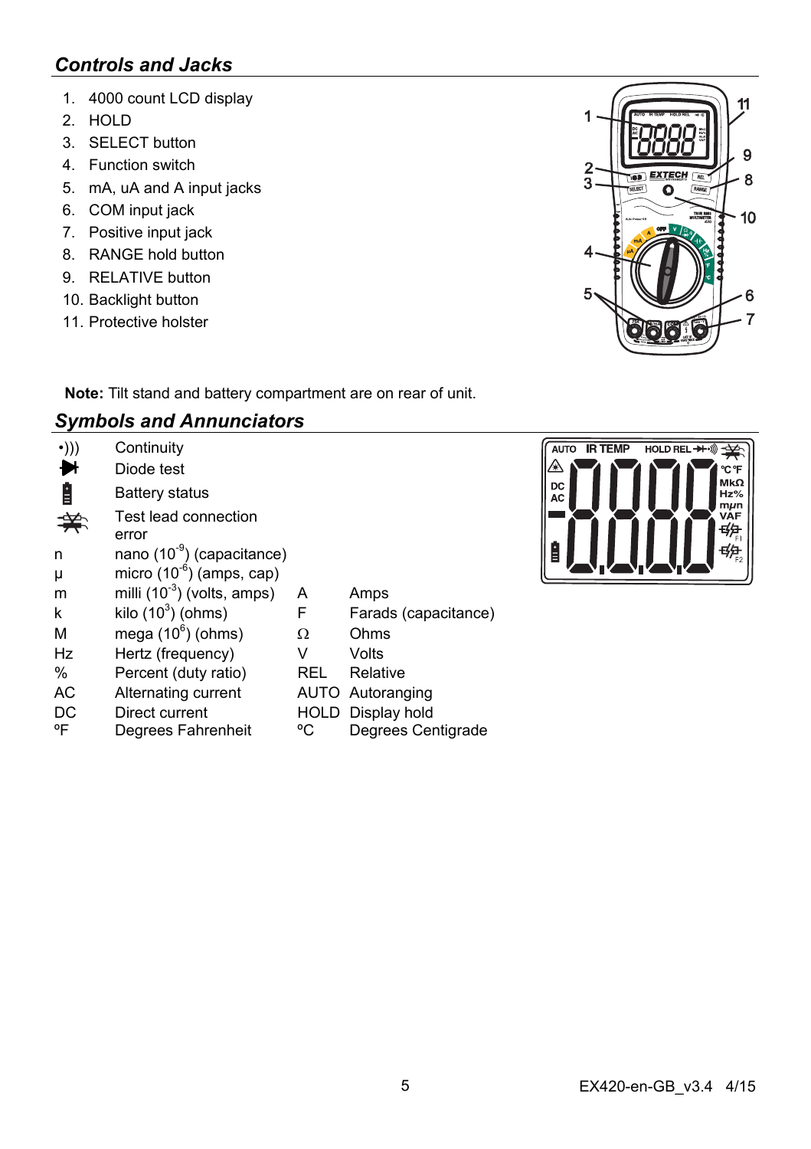# *Controls and Jacks*

- 1. 4000 count LCD display
- 2. HOLD
- 3. SELECT button
- 4. Function switch
- 5. mA, uA and A input jacks
- 6. COM input jack
- 7. Positive input jack
- 8. RANGE hold button
- 9. RELATIVE button
- 10. Backlight button
- 11. Protective holster



**Note:** Tilt stand and battery compartment are on rear of unit.

## *Symbols and Annunciators*

| $\cdot$ ))) | Continuity                             |      |                      |
|-------------|----------------------------------------|------|----------------------|
|             | Diode test                             |      |                      |
| Ė           | Battery status                         |      |                      |
|             | Test lead connection<br>error          |      |                      |
| n           | nano (10 <sup>-9</sup> ) (capacitance) |      |                      |
| μ           | micro $(10^{-6})$ (amps, cap)          |      |                      |
| m           | milli $(10^{-3})$ (volts, amps)        | A    | Amps                 |
| k           | kilo $(10^3)$ (ohms)                   | F    | Farads (capacitance) |
| M           | mega $(10^6)$ (ohms)                   | Ω    | Ohms                 |
| Hz          | Hertz (frequency)                      | v    | Volts                |
| $\%$        | Percent (duty ratio)                   | REL  | Relative             |
| AC          | Alternating current                    |      | AUTO Autoranging     |
| DC          | Direct current                         | HOLD | Display hold         |
| °F          | Degrees Fahrenheit                     | °C   | Degrees Centigrade   |

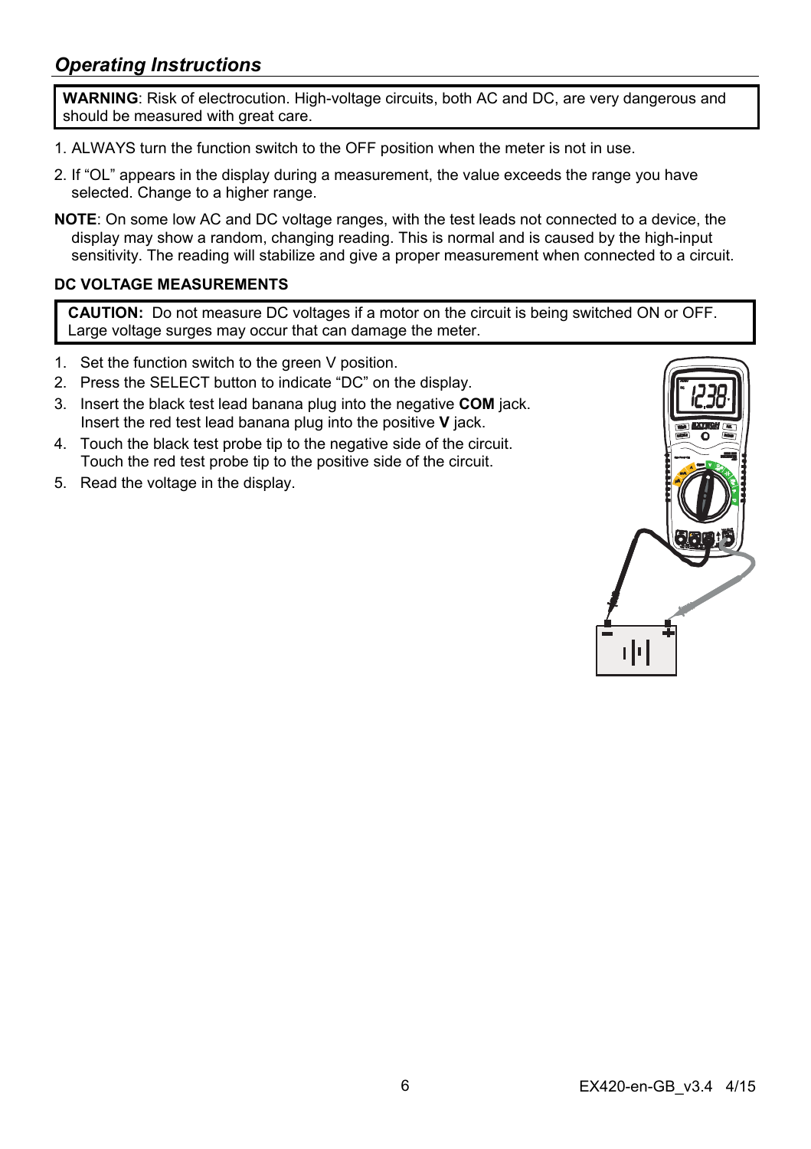## *Operating Instructions*

**WARNING**: Risk of electrocution. High-voltage circuits, both AC and DC, are very dangerous and should be measured with great care.

- 1. ALWAYS turn the function switch to the OFF position when the meter is not in use.
- 2. If "OL" appears in the display during a measurement, the value exceeds the range you have selected. Change to a higher range.
- **NOTE**: On some low AC and DC voltage ranges, with the test leads not connected to a device, the display may show a random, changing reading. This is normal and is caused by the high-input sensitivity. The reading will stabilize and give a proper measurement when connected to a circuit.

#### **DC VOLTAGE MEASUREMENTS**

**CAUTION:** Do not measure DC voltages if a motor on the circuit is being switched ON or OFF. Large voltage surges may occur that can damage the meter.

- 1. Set the function switch to the green V position.
- 2. Press the SELECT button to indicate "DC" on the display.
- 3. Insert the black test lead banana plug into the negative **COM** jack. Insert the red test lead banana plug into the positive **V** jack.
- 4. Touch the black test probe tip to the negative side of the circuit. Touch the red test probe tip to the positive side of the circuit.
- 5. Read the voltage in the display.

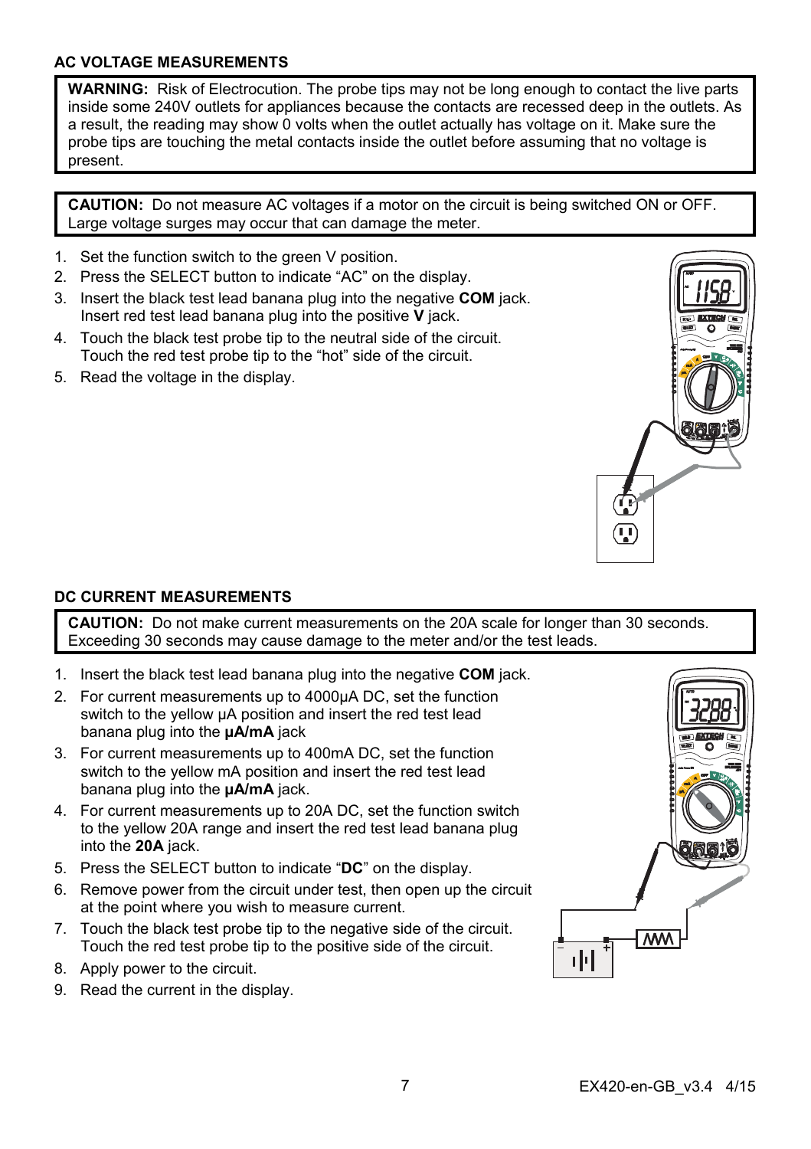#### **AC VOLTAGE MEASUREMENTS**

**WARNING:** Risk of Electrocution. The probe tips may not be long enough to contact the live parts inside some 240V outlets for appliances because the contacts are recessed deep in the outlets. As a result, the reading may show 0 volts when the outlet actually has voltage on it. Make sure the probe tips are touching the metal contacts inside the outlet before assuming that no voltage is present.

**CAUTION:** Do not measure AC voltages if a motor on the circuit is being switched ON or OFF. Large voltage surges may occur that can damage the meter.

- 1. Set the function switch to the green V position.
- 2. Press the SELECT button to indicate "AC" on the display.
- 3. Insert the black test lead banana plug into the negative **COM** jack. Insert red test lead banana plug into the positive **V** jack.
- 4. Touch the black test probe tip to the neutral side of the circuit. Touch the red test probe tip to the "hot" side of the circuit.
- 5. Read the voltage in the display.



#### **DC CURRENT MEASUREMENTS**

**CAUTION:** Do not make current measurements on the 20A scale for longer than 30 seconds. Exceeding 30 seconds may cause damage to the meter and/or the test leads.

- 1. Insert the black test lead banana plug into the negative **COM** jack.
- 2. For current measurements up to 4000µA DC, set the function switch to the yellow  $\mu$ A position and insert the red test lead banana plug into the **µA/mA** jack
- 3. For current measurements up to 400mA DC, set the function switch to the yellow mA position and insert the red test lead banana plug into the **µA/mA** jack.
- 4. For current measurements up to 20A DC, set the function switch to the yellow 20A range and insert the red test lead banana plug into the **20A** jack.
- 5. Press the SELECT button to indicate "**DC**" on the display.
- 6. Remove power from the circuit under test, then open up the circuit at the point where you wish to measure current.
- 7. Touch the black test probe tip to the negative side of the circuit. Touch the red test probe tip to the positive side of the circuit.
- 8. Apply power to the circuit.
- 9. Read the current in the display.

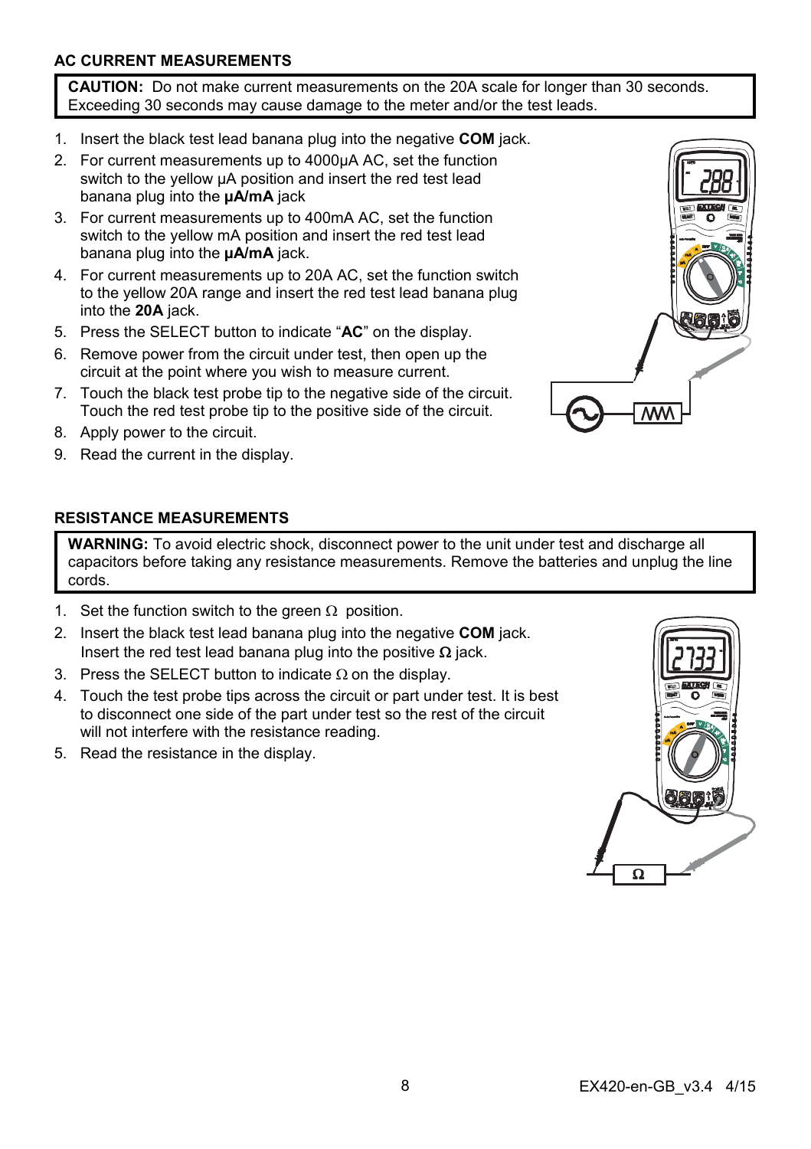### **AC CURRENT MEASUREMENTS**

**CAUTION:** Do not make current measurements on the 20A scale for longer than 30 seconds. Exceeding 30 seconds may cause damage to the meter and/or the test leads.

- 1. Insert the black test lead banana plug into the negative **COM** jack.
- 2. For current measurements up to 4000µA AC, set the function switch to the yellow uA position and insert the red test lead banana plug into the **µA/mA** jack
- 3. For current measurements up to 400mA AC, set the function switch to the yellow mA position and insert the red test lead banana plug into the **µA/mA** jack.
- 4. For current measurements up to 20A AC, set the function switch to the yellow 20A range and insert the red test lead banana plug into the **20A** jack.
- 5. Press the SELECT button to indicate "**AC**" on the display.
- 6. Remove power from the circuit under test, then open up the circuit at the point where you wish to measure current.
- 7. Touch the black test probe tip to the negative side of the circuit. Touch the red test probe tip to the positive side of the circuit.
- 8. Apply power to the circuit.
- 9. Read the current in the display.



#### **RESISTANCE MEASUREMENTS**

**WARNING:** To avoid electric shock, disconnect power to the unit under test and discharge all capacitors before taking any resistance measurements. Remove the batteries and unplug the line cords.

- 1. Set the function switch to the green  $\Omega$  position.
- 2. Insert the black test lead banana plug into the negative **COM** jack. Insert the red test lead banana plug into the positive  $\Omega$  jack.
- 3. Press the SELECT button to indicate  $\Omega$  on the display.
- 4. Touch the test probe tips across the circuit or part under test. It is best to disconnect one side of the part under test so the rest of the circuit will not interfere with the resistance reading.
- 5. Read the resistance in the display.

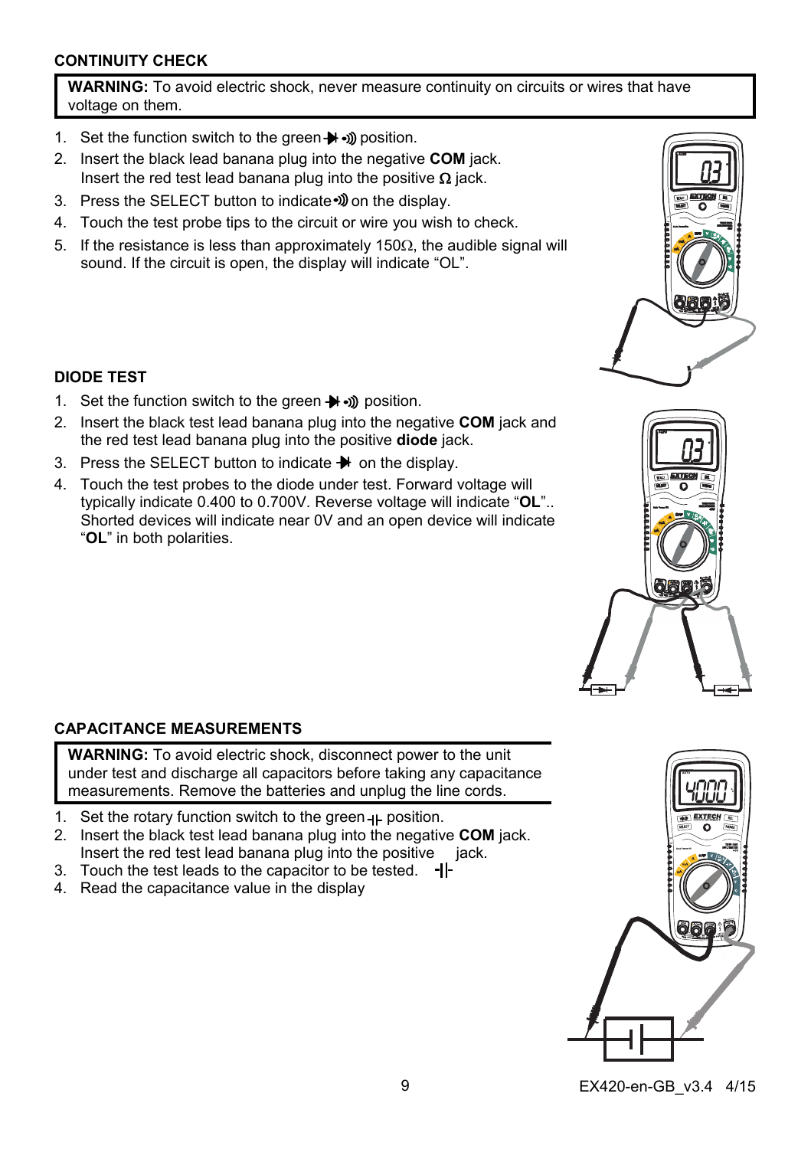#### **CONTINUITY CHECK**

**WARNING:** To avoid electric shock, never measure continuity on circuits or wires that have voltage on them.

- 1. Set the function switch to the green  $\blacktriangleright$   $\rightsquigarrow$  position.
- 2. Insert the black lead banana plug into the negative **COM** jack. Insert the red test lead banana plug into the positive  $\Omega$  jack.
- 3. Press the SELECT button to indicate of on the display.
- 4. Touch the test probe tips to the circuit or wire you wish to check.
- 5. If the resistance is less than approximately 150 $\Omega$ , the audible signal will sound. If the circuit is open, the display will indicate "OL".



#### **DIODE TEST**

- 1. Set the function switch to the green  $\rightarrow$   $\rightarrow$  position.
- 2. Insert the black test lead banana plug into the negative **COM** jack and the red test lead banana plug into the positive **diode** jack.
- 3. Press the SELECT button to indicate  $\blacktriangleright$  on the display.
- 4. Touch the test probes to the diode under test. Forward voltage will typically indicate 0.400 to 0.700V. Reverse voltage will indicate "**OL**".. Shorted devices will indicate near 0V and an open device will indicate "**OL**" in both polarities.

### **CAPACITANCE MEASUREMENTS**

**WARNING:** To avoid electric shock, disconnect power to the unit under test and discharge all capacitors before taking any capacitance measurements. Remove the batteries and unplug the line cords.

- 1. Set the rotary function switch to the green  $H$ -position.
- 2. Insert the black test lead banana plug into the negative **COM** jack. Insert the red test lead banana plug into the positive jack.
- 3. Touch the test leads to the capacitor to be tested.  $-I$
- 4. Read the capacitance value in the display

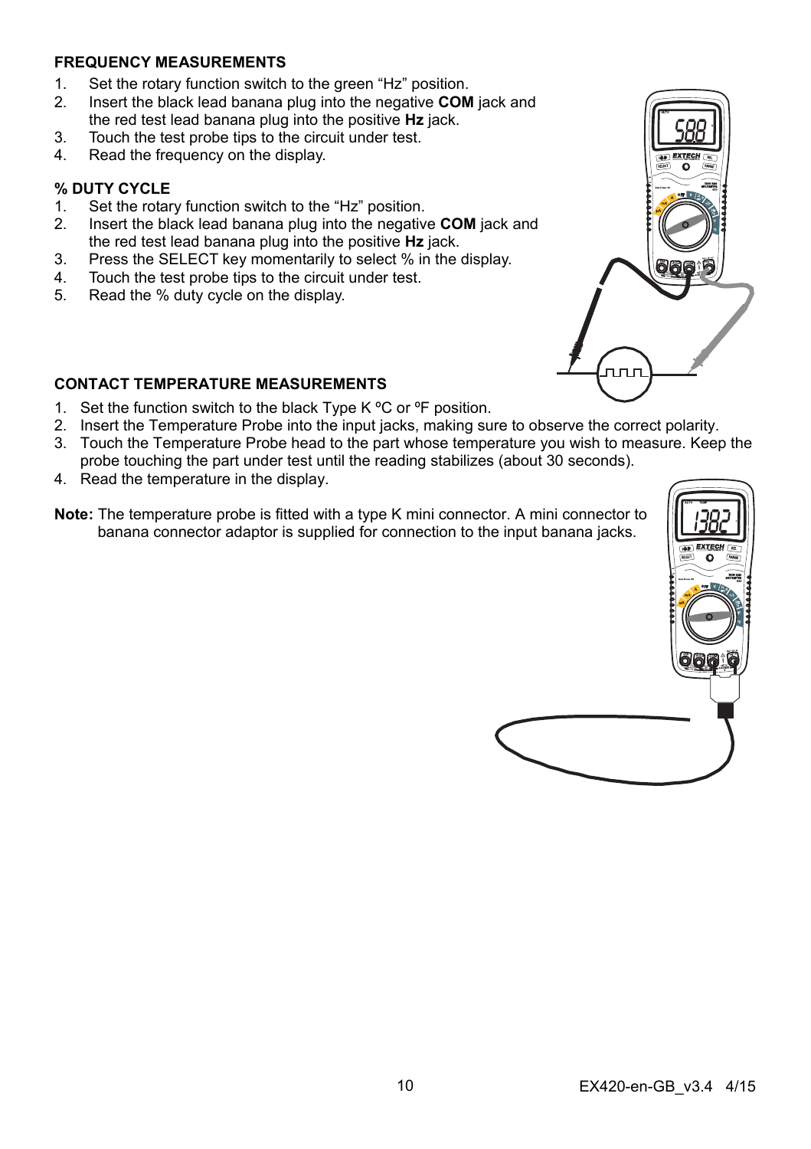#### **FREQUENCY MEASUREMENTS**

- 1. Set the rotary function switch to the green "Hz" position.
- 2. Insert the black lead banana plug into the negative **COM** jack and the red test lead banana plug into the positive **Hz** jack.
- 3. Touch the test probe tips to the circuit under test.
- 4. Read the frequency on the display.

#### **% DUTY CYCLE**

- 1. Set the rotary function switch to the "Hz" position.
- 2. Insert the black lead banana plug into the negative **COM** jack and the red test lead banana plug into the positive **Hz** jack.
- 3. Press the SELECT key momentarily to select % in the display.
- 4. Touch the test probe tips to the circuit under test.
- 5. Read the % duty cycle on the display.



- 1. Set the function switch to the black Type K °C or °F position.
- 2. Insert the Temperature Probe into the input jacks, making sure to observe the correct polarity.
- 3. Touch the Temperature Probe head to the part whose temperature you wish to measure. Keep the probe touching the part under test until the reading stabilizes (about 30 seconds).
- 4. Read the temperature in the display.
- **Note:** The temperature probe is fitted with a type K mini connector. A mini connector to banana connector adaptor is supplied for connection to the input banana jacks.



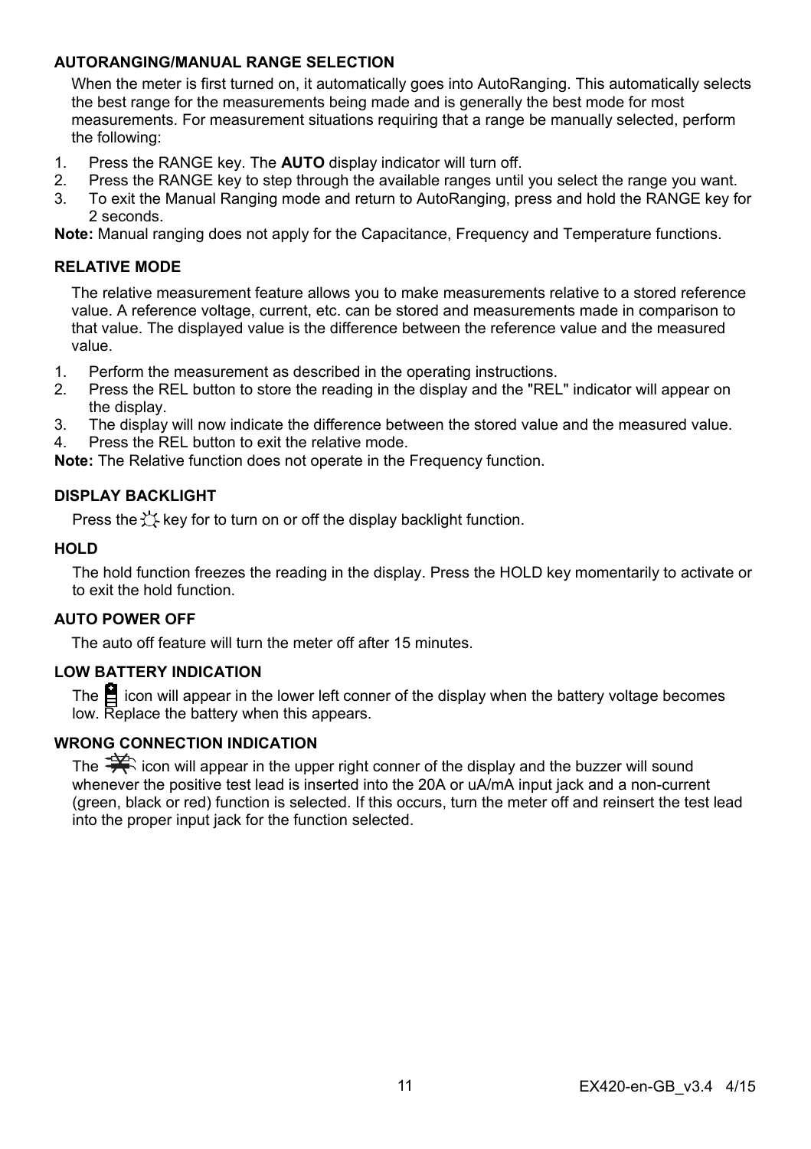#### **AUTORANGING/MANUAL RANGE SELECTION**

When the meter is first turned on, it automatically goes into AutoRanging. This automatically selects the best range for the measurements being made and is generally the best mode for most measurements. For measurement situations requiring that a range be manually selected, perform the following:

- 1. Press the RANGE key. The **AUTO** display indicator will turn off.
- 2. Press the RANGE key to step through the available ranges until you select the range you want.
- 3. To exit the Manual Ranging mode and return to AutoRanging, press and hold the RANGE key for 2 seconds.

**Note:** Manual ranging does not apply for the Capacitance, Frequency and Temperature functions.

#### **RELATIVE MODE**

The relative measurement feature allows you to make measurements relative to a stored reference value. A reference voltage, current, etc. can be stored and measurements made in comparison to that value. The displayed value is the difference between the reference value and the measured value.

- 1. Perform the measurement as described in the operating instructions.
- 2. Press the REL button to store the reading in the display and the "REL" indicator will appear on the display.
- 3. The display will now indicate the difference between the stored value and the measured value.
- 4. Press the REL button to exit the relative mode.

**Note:** The Relative function does not operate in the Frequency function.

#### **DISPLAY BACKLIGHT**

Press the  $\forall$  key for to turn on or off the display backlight function.

#### **HOLD**

The hold function freezes the reading in the display. Press the HOLD key momentarily to activate or to exit the hold function.

#### **AUTO POWER OFF**

The auto off feature will turn the meter off after 15 minutes.

#### **LOW BATTERY INDICATION**

The  $\Xi$  icon will appear in the lower left conner of the display when the battery voltage becomes low. Replace the battery when this appears.

#### **WRONG CONNECTION INDICATION**

The  $\frac{1}{2}$  icon will appear in the upper right conner of the display and the buzzer will sound whenever the positive test lead is inserted into the 20A or uA/mA input jack and a non-current (green, black or red) function is selected. If this occurs, turn the meter off and reinsert the test lead into the proper input jack for the function selected.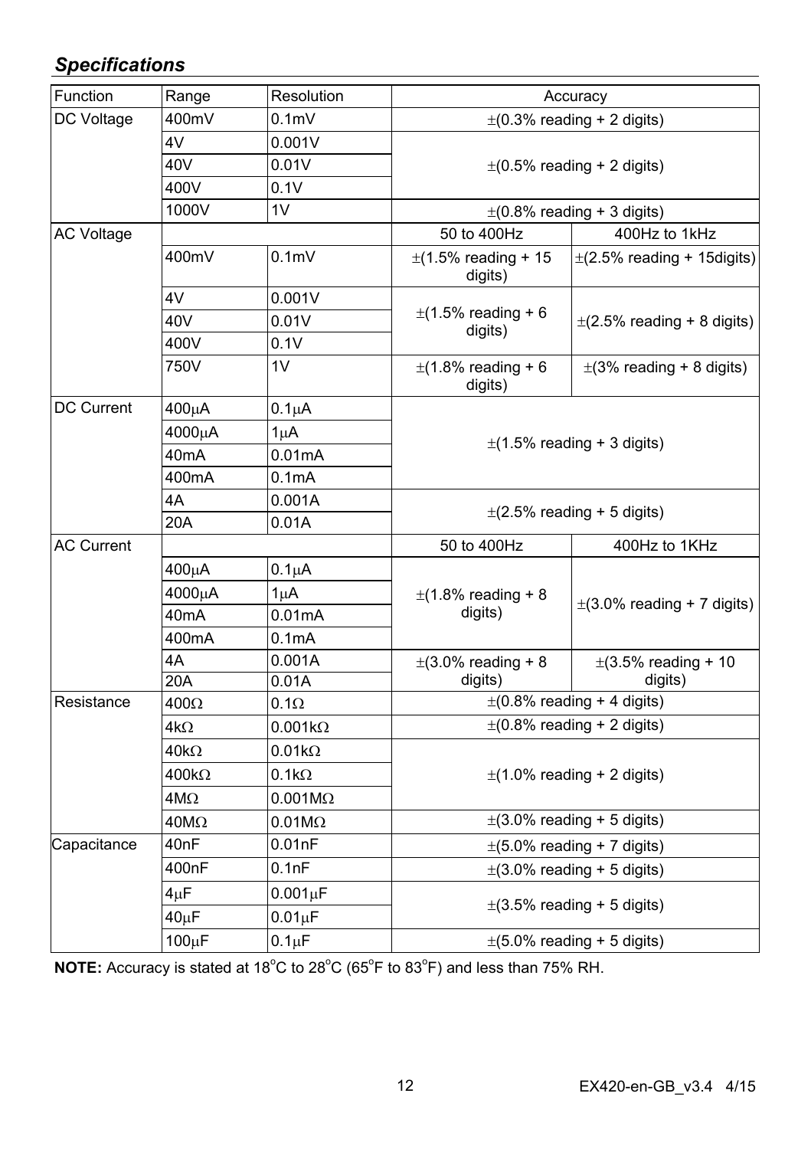# *Specifications*

| Function          | Range             | Resolution         | Accuracy                            |                                     |  |
|-------------------|-------------------|--------------------|-------------------------------------|-------------------------------------|--|
| DC Voltage        | 400mV             | 0.1 <sub>m</sub>   |                                     | $\pm$ (0.3% reading + 2 digits)     |  |
|                   | 4V                | 0.001V             |                                     |                                     |  |
|                   | 40V               | 0.01V              |                                     | $\pm$ (0.5% reading + 2 digits)     |  |
|                   | 400V              | 0.1V               |                                     |                                     |  |
|                   | 1000V             | 1V                 | $\pm$ (0.8% reading + 3 digits)     |                                     |  |
| <b>AC Voltage</b> |                   |                    | 50 to 400Hz                         | 400Hz to 1kHz                       |  |
|                   | 400mV             | 0.1 <sub>m</sub>   | $\pm$ (1.5% reading + 15<br>digits) | $\pm$ (2.5% reading + 15 digits)    |  |
|                   | 4V                | 0.001V             |                                     | $\pm$ (2.5% reading + 8 digits)     |  |
|                   | 40V               | 0.01V              | $\pm$ (1.5% reading + 6<br>digits)  |                                     |  |
|                   | 400V              | 0.1V               |                                     |                                     |  |
|                   | 750V              | 1V                 | $\pm$ (1.8% reading + 6<br>digits)  | $\pm$ (3% reading + 8 digits)       |  |
| DC Current        | 400µA             | $0.1\mu A$         |                                     |                                     |  |
|                   | 4000μA            | $1\mu$ A           |                                     |                                     |  |
|                   | 40 <sub>m</sub> A | 0.01mA             |                                     | $\pm$ (1.5% reading + 3 digits)     |  |
|                   | 400mA             | 0.1 <sub>m</sub> A |                                     |                                     |  |
|                   | 4A                | 0.001A             |                                     |                                     |  |
|                   | 20A               | 0.01A              |                                     | $\pm$ (2.5% reading + 5 digits)     |  |
| <b>AC Current</b> |                   |                    | 50 to 400Hz                         | 400Hz to 1KHz                       |  |
|                   | $400\mu A$        | $0.1\mu A$         |                                     | $\pm$ (3.0% reading + 7 digits)     |  |
|                   | 4000μA            | $1\mu$ A           | $\pm$ (1.8% reading + 8             |                                     |  |
|                   | 40 <sub>m</sub> A | 0.01mA             | digits)                             |                                     |  |
|                   | 400mA             | 0.1mA              |                                     |                                     |  |
|                   | 4A                | 0.001A             | $\pm$ (3.0% reading + 8             | $\pm$ (3.5% reading + 10<br>digits) |  |
|                   | 20A               | 0.01A              | digits)                             |                                     |  |
| Resistance        | $400\Omega$       | $0.1\Omega$        | $\pm$ (0.8% reading + 4 digits)     |                                     |  |
|                   | 4kΩ               | $0.001k\Omega$     |                                     | $\pm$ (0.8% reading + 2 digits)     |  |
|                   | $40k\Omega$       | $0.01k\Omega$      |                                     |                                     |  |
|                   | $400k\Omega$      | $0.1k\Omega$       |                                     | $\pm$ (1.0% reading + 2 digits)     |  |
|                   | $4M\Omega$        | $0.001M\Omega$     |                                     |                                     |  |
|                   | $40M\Omega$       | $0.01M\Omega$      | $\pm$ (3.0% reading + 5 digits)     |                                     |  |
| Capacitance       | 40 <sub>nF</sub>  | 0.01nF             | $\pm$ (5.0% reading + 7 digits)     |                                     |  |
|                   | 400nF             | 0.1nF              | $\pm$ (3.0% reading + 5 digits)     |                                     |  |
|                   | $4\mu$ F          | $0.001\mu F$       |                                     |                                     |  |
|                   | $40\mu F$         | $0.01 \mu F$       |                                     | $\pm$ (3.5% reading + 5 digits)     |  |
|                   | 100µF             | $0.1 \mu F$        | $\pm$ (5.0% reading + 5 digits)     |                                     |  |

NOTE: Accuracy is stated at 18<sup>°</sup>C to 28<sup>°</sup>C (65<sup>°</sup>F to 83<sup>°</sup>F) and less than 75% RH.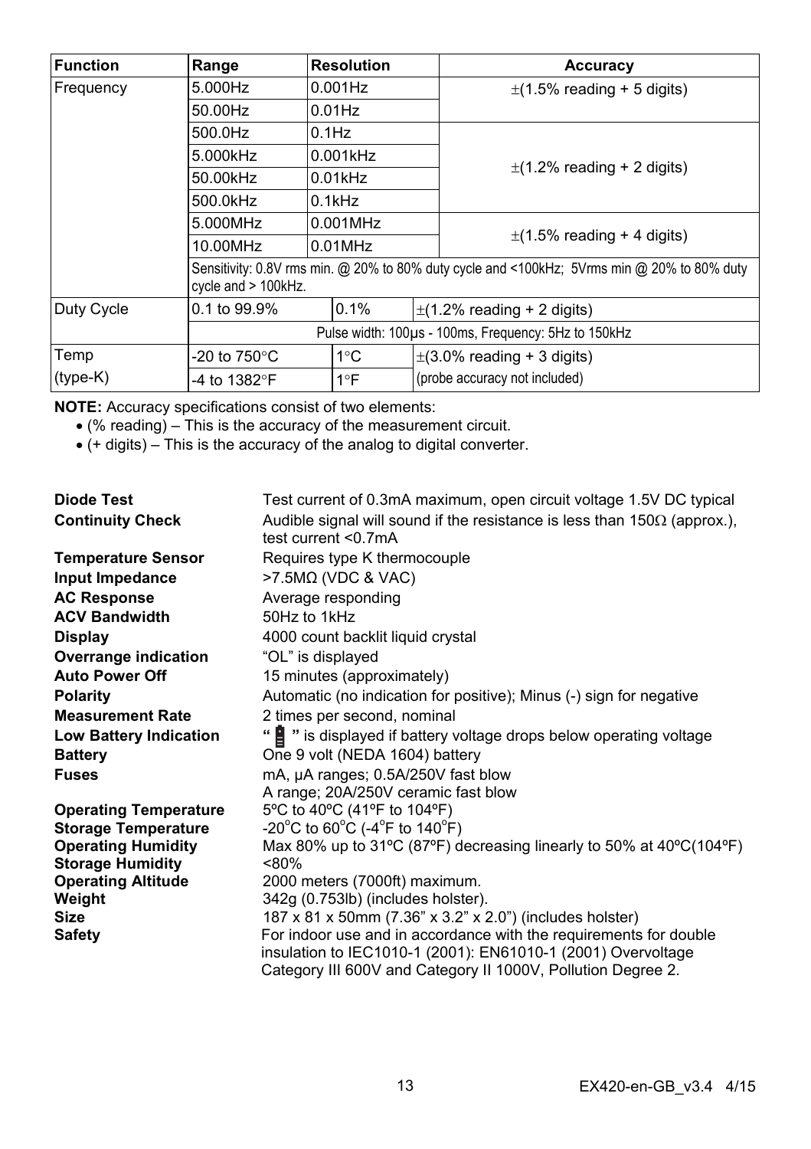| <b>Function</b> | Range                  | <b>Resolution</b>                                                                                                  |  | Accuracy                        |  |
|-----------------|------------------------|--------------------------------------------------------------------------------------------------------------------|--|---------------------------------|--|
| Frequency       | 5.000Hz                | $0.001$ Hz                                                                                                         |  | $\pm$ (1.5% reading + 5 digits) |  |
|                 | 50.00Hz                | $0.01$ Hz                                                                                                          |  |                                 |  |
|                 | 500.0Hz                | $0.1$ Hz                                                                                                           |  |                                 |  |
|                 | 5.000kHz               | $0.001$ kHz                                                                                                        |  |                                 |  |
|                 | 50.00kHz               | $0.01$ kHz                                                                                                         |  | $\pm$ (1.2% reading + 2 digits) |  |
|                 | 500.0kHz               | $0.1$ k $Hz$                                                                                                       |  |                                 |  |
|                 | 5.000MHz               | $0.001$ MHz                                                                                                        |  |                                 |  |
|                 | 10.00MHz               | $0.01$ MHz                                                                                                         |  | $\pm$ (1.5% reading + 4 digits) |  |
|                 |                        | Sensitivity: 0.8V rms min. @ 20% to 80% duty cycle and <100kHz; 5Vrms min @ 20% to 80% duty<br>cycle and > 100kHz. |  |                                 |  |
| Duty Cycle      | 0.1 to 99.9%           | 0.1%                                                                                                               |  | $\pm$ (1.2% reading + 2 digits) |  |
|                 |                        | Pulse width: 100µs - 100ms, Frequency: 5Hz to 150kHz                                                               |  |                                 |  |
| Temp            | -20 to $750^{\circ}$ C | $1^{\circ}$ C                                                                                                      |  | $\pm$ (3.0% reading + 3 digits) |  |
| $(type-K)$      | -4 to 1382°F           | $1^{\circ}F$                                                                                                       |  | (probe accuracy not included)   |  |

**NOTE:** Accuracy specifications consist of two elements:

- (% reading) This is the accuracy of the measurement circuit.
- (+ digits) This is the accuracy of the analog to digital converter.

| Diode Test                    | Test current of 0.3mA maximum, open circuit voltage 1.5V DC typical                                      |
|-------------------------------|----------------------------------------------------------------------------------------------------------|
| <b>Continuity Check</b>       | Audible signal will sound if the resistance is less than $150\Omega$ (approx.),<br>test current $<$ 07mA |
| <b>Temperature Sensor</b>     | Requires type K thermocouple                                                                             |
| Input Impedance               | $>7.5MΩ$ (VDC & VAC)                                                                                     |
| <b>AC Response</b>            | Average responding                                                                                       |
| <b>ACV Bandwidth</b>          | 50Hz to 1kHz                                                                                             |
| Display                       | 4000 count backlit liquid crystal                                                                        |
| Overrange indication          | "OL" is displayed                                                                                        |
| <b>Auto Power Off</b>         | 15 minutes (approximately)                                                                               |
| <b>Polarity</b>               | Automatic (no indication for positive); Minus (-) sign for negative                                      |
| <b>Measurement Rate</b>       | 2 times per second, nominal                                                                              |
| <b>Low Battery Indication</b> | "I " is displayed if battery voltage drops below operating voltage                                       |
| <b>Battery</b>                | One 9 volt (NEDA 1604) battery                                                                           |
| <b>Fuses</b>                  | mA, µA ranges; 0.5A/250V fast blow                                                                       |
|                               | A range; 20A/250V ceramic fast blow                                                                      |
| <b>Operating Temperature</b>  | 5°C to 40°C (41°F to 104°F)                                                                              |
| <b>Storage Temperature</b>    | $-20^{\circ}$ C to 60 $^{\circ}$ C (-4 $^{\circ}$ F to 140 $^{\circ}$ F)                                 |
| <b>Operating Humidity</b>     | Max 80% up to 31°C (87°F) decreasing linearly to 50% at 40°C(104°F)                                      |
| <b>Storage Humidity</b>       | < 80%                                                                                                    |
| <b>Operating Altitude</b>     | 2000 meters (7000ft) maximum.                                                                            |
| Weight                        | 342g (0.753lb) (includes holster).                                                                       |
| <b>Size</b>                   | 187 x 81 x 50mm (7.36" x 3.2" x 2.0") (includes holster)                                                 |
| <b>Safety</b>                 | For indoor use and in accordance with the requirements for double                                        |
|                               | insulation to IEC1010-1 (2001): EN61010-1 (2001) Overvoltage                                             |
|                               | Category III 600V and Category II 1000V, Pollution Degree 2.                                             |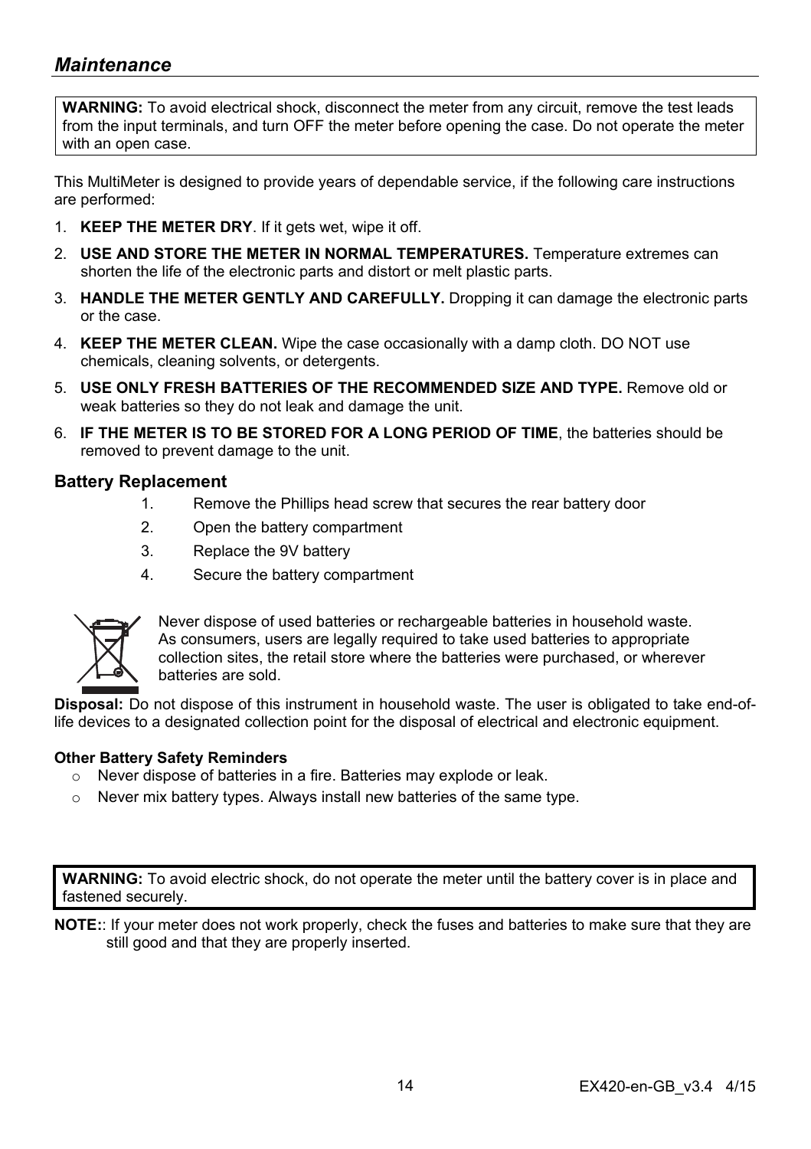## *Maintenance*

**WARNING:** To avoid electrical shock, disconnect the meter from any circuit, remove the test leads from the input terminals, and turn OFF the meter before opening the case. Do not operate the meter with an open case.

This MultiMeter is designed to provide years of dependable service, if the following care instructions are performed:

- 1. **KEEP THE METER DRY**. If it gets wet, wipe it off.
- 2. **USE AND STORE THE METER IN NORMAL TEMPERATURES.** Temperature extremes can shorten the life of the electronic parts and distort or melt plastic parts.
- 3. **HANDLE THE METER GENTLY AND CAREFULLY.** Dropping it can damage the electronic parts or the case.
- 4. **KEEP THE METER CLEAN.** Wipe the case occasionally with a damp cloth. DO NOT use chemicals, cleaning solvents, or detergents.
- 5. **USE ONLY FRESH BATTERIES OF THE RECOMMENDED SIZE AND TYPE.** Remove old or weak batteries so they do not leak and damage the unit.
- 6. **IF THE METER IS TO BE STORED FOR A LONG PERIOD OF TIME**, the batteries should be removed to prevent damage to the unit.

#### **Battery Replacement**

- 1. Remove the Phillips head screw that secures the rear battery door
- 2. Open the battery compartment
- 3. Replace the 9V battery
- 4. Secure the battery compartment



Never dispose of used batteries or rechargeable batteries in household waste. As consumers, users are legally required to take used batteries to appropriate collection sites, the retail store where the batteries were purchased, or wherever batteries are sold.

**Disposal:** Do not dispose of this instrument in household waste. The user is obligated to take end-oflife devices to a designated collection point for the disposal of electrical and electronic equipment.

#### **Other Battery Safety Reminders**

- o Never dispose of batteries in a fire. Batteries may explode or leak.
- $\circ$  Never mix battery types. Always install new batteries of the same type.

**WARNING:** To avoid electric shock, do not operate the meter until the battery cover is in place and fastened securely.

**NOTE:**: If your meter does not work properly, check the fuses and batteries to make sure that they are still good and that they are properly inserted.